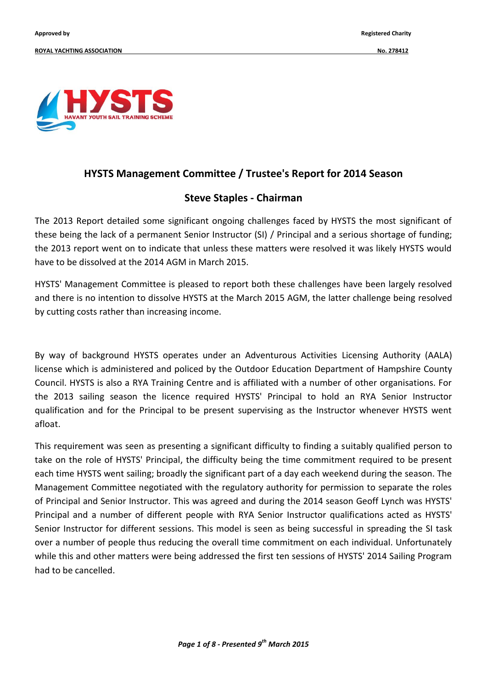

## **HYSTS Management Committee / Trustee's Report for 2014 Season**

### **Steve Staples - Chairman**

The 2013 Report detailed some significant ongoing challenges faced by HYSTS the most significant of these being the lack of a permanent Senior Instructor (SI) / Principal and a serious shortage of funding; the 2013 report went on to indicate that unless these matters were resolved it was likely HYSTS would have to be dissolved at the 2014 AGM in March 2015.

HYSTS' Management Committee is pleased to report both these challenges have been largely resolved and there is no intention to dissolve HYSTS at the March 2015 AGM, the latter challenge being resolved by cutting costs rather than increasing income.

By way of background HYSTS operates under an Adventurous Activities Licensing Authority (AALA) license which is administered and policed by the Outdoor Education Department of Hampshire County Council. HYSTS is also a RYA Training Centre and is affiliated with a number of other organisations. For the 2013 sailing season the licence required HYSTS' Principal to hold an RYA Senior Instructor qualification and for the Principal to be present supervising as the Instructor whenever HYSTS went afloat.

This requirement was seen as presenting a significant difficulty to finding a suitably qualified person to take on the role of HYSTS' Principal, the difficulty being the time commitment required to be present each time HYSTS went sailing; broadly the significant part of a day each weekend during the season. The Management Committee negotiated with the regulatory authority for permission to separate the roles of Principal and Senior Instructor. This was agreed and during the 2014 season Geoff Lynch was HYSTS' Principal and a number of different people with RYA Senior Instructor qualifications acted as HYSTS' Senior Instructor for different sessions. This model is seen as being successful in spreading the SI task over a number of people thus reducing the overall time commitment on each individual. Unfortunately while this and other matters were being addressed the first ten sessions of HYSTS' 2014 Sailing Program had to be cancelled.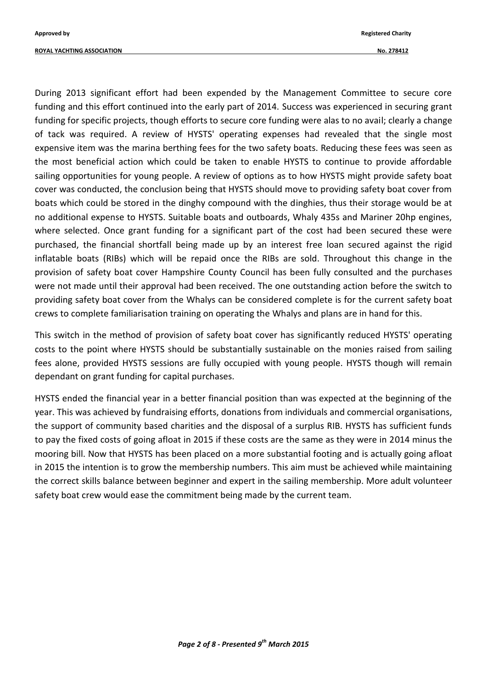**ROYAL YACHTING ASSOCIATION No. 278412**

During 2013 significant effort had been expended by the Management Committee to secure core funding and this effort continued into the early part of 2014. Success was experienced in securing grant funding for specific projects, though efforts to secure core funding were alas to no avail; clearly a change of tack was required. A review of HYSTS' operating expenses had revealed that the single most expensive item was the marina berthing fees for the two safety boats. Reducing these fees was seen as the most beneficial action which could be taken to enable HYSTS to continue to provide affordable sailing opportunities for young people. A review of options as to how HYSTS might provide safety boat cover was conducted, the conclusion being that HYSTS should move to providing safety boat cover from boats which could be stored in the dinghy compound with the dinghies, thus their storage would be at no additional expense to HYSTS. Suitable boats and outboards, Whaly 435s and Mariner 20hp engines, where selected. Once grant funding for a significant part of the cost had been secured these were purchased, the financial shortfall being made up by an interest free loan secured against the rigid inflatable boats (RIBs) which will be repaid once the RIBs are sold. Throughout this change in the provision of safety boat cover Hampshire County Council has been fully consulted and the purchases were not made until their approval had been received. The one outstanding action before the switch to providing safety boat cover from the Whalys can be considered complete is for the current safety boat crews to complete familiarisation training on operating the Whalys and plans are in hand for this.

This switch in the method of provision of safety boat cover has significantly reduced HYSTS' operating costs to the point where HYSTS should be substantially sustainable on the monies raised from sailing fees alone, provided HYSTS sessions are fully occupied with young people. HYSTS though will remain dependant on grant funding for capital purchases.

HYSTS ended the financial year in a better financial position than was expected at the beginning of the year. This was achieved by fundraising efforts, donations from individuals and commercial organisations, the support of community based charities and the disposal of a surplus RIB. HYSTS has sufficient funds to pay the fixed costs of going afloat in 2015 if these costs are the same as they were in 2014 minus the mooring bill. Now that HYSTS has been placed on a more substantial footing and is actually going afloat in 2015 the intention is to grow the membership numbers. This aim must be achieved while maintaining the correct skills balance between beginner and expert in the sailing membership. More adult volunteer safety boat crew would ease the commitment being made by the current team.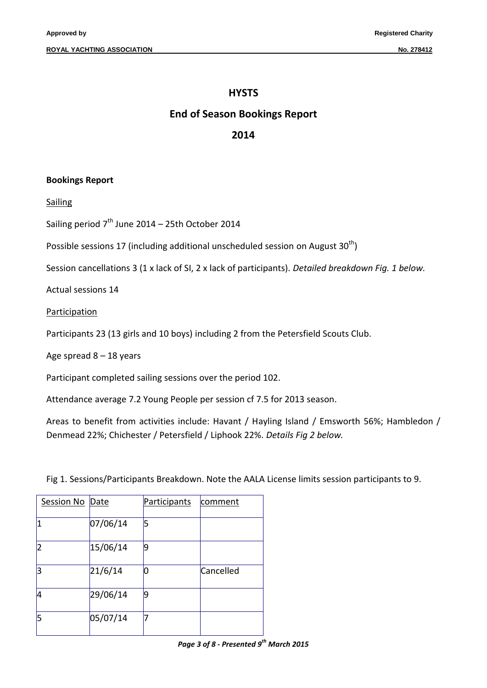#### **HYSTS**

#### **End of Season Bookings Report**

#### **2014**

#### **Bookings Report**

**Sailing** 

Sailing period  $7<sup>th</sup>$  June 2014 – 25th October 2014

Possible sessions 17 (including additional unscheduled session on August  $30<sup>th</sup>$ )

Session cancellations 3 (1 x lack of SI, 2 x lack of participants). *Detailed breakdown Fig. 1 below.*

Actual sessions 14

Participation

Participants 23 (13 girls and 10 boys) including 2 from the Petersfield Scouts Club.

Age spread  $8 - 18$  years

Participant completed sailing sessions over the period 102.

Attendance average 7.2 Young People per session cf 7.5 for 2013 season.

Areas to benefit from activities include: Havant / Hayling Island / Emsworth 56%; Hambledon / Denmead 22%; Chichester / Petersfield / Liphook 22%. *Details Fig 2 below.*

Fig 1. Sessions/Participants Breakdown. Note the AALA License limits session participants to 9.

| Session No Date |          | Participants | comment   |
|-----------------|----------|--------------|-----------|
| 1               | 07/06/14 | 5            |           |
| $\overline{2}$  | 15/06/14 | 9            |           |
| 3               | 21/6/14  | 0            | Cancelled |
| 4               | 29/06/14 | 9            |           |
| 5               | 05/07/14 |              |           |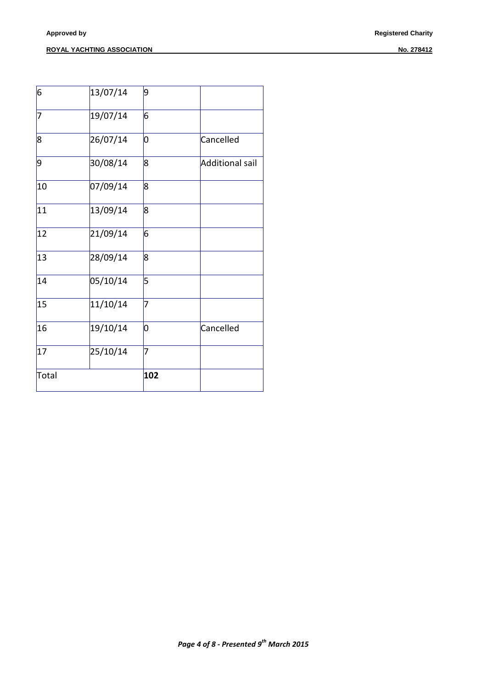#### **ROYAL YACHTING ASSOCIATION** NO. 278412

| Total |          | 102             |                        |
|-------|----------|-----------------|------------------------|
| 17    | 25/10/14 | 7               |                        |
| 16    | 19/10/14 | 0               | Cancelled              |
| 15    | 11/10/14 | 7               |                        |
| 14    | 05/10/14 | 5               |                        |
| 13    | 28/09/14 | 8               |                        |
| 12    | 21/09/14 | 6               |                        |
| 11    | 13/09/14 | 8               |                        |
| 10    | 07/09/14 | 8               |                        |
| 9     | 30/08/14 | 8               | <b>Additional sail</b> |
| 8     | 26/07/14 | lО              | Cancelled              |
| 7     | 19/07/14 | $6\overline{6}$ |                        |
| 6     | 13/07/14 | 9               |                        |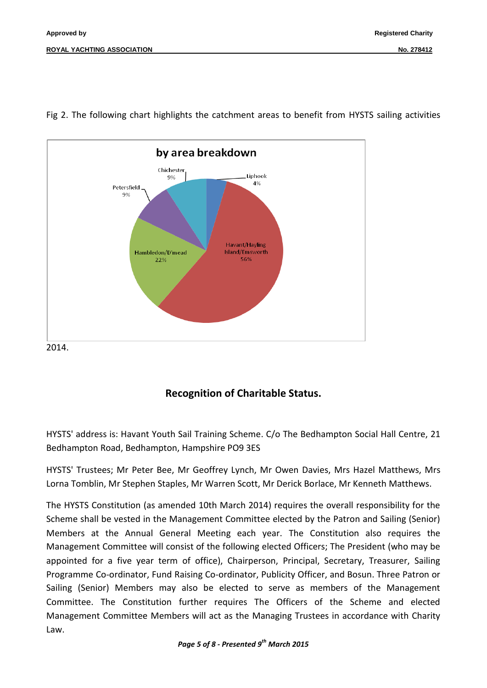

Fig 2. The following chart highlights the catchment areas to benefit from HYSTS sailing activities

## **Recognition of Charitable Status.**

HYSTS' address is: Havant Youth Sail Training Scheme. C/o The Bedhampton Social Hall Centre, 21 Bedhampton Road, Bedhampton, Hampshire PO9 3ES

HYSTS' Trustees; Mr Peter Bee, Mr Geoffrey Lynch, Mr Owen Davies, Mrs Hazel Matthews, Mrs Lorna Tomblin, Mr Stephen Staples, Mr Warren Scott, Mr Derick Borlace, Mr Kenneth Matthews.

The HYSTS Constitution (as amended 10th March 2014) requires the overall responsibility for the Scheme shall be vested in the Management Committee elected by the Patron and Sailing (Senior) Members at the Annual General Meeting each year. The Constitution also requires the Management Committee will consist of the following elected Officers; The President (who may be appointed for a five year term of office), Chairperson, Principal, Secretary, Treasurer, Sailing Programme Co-ordinator, Fund Raising Co-ordinator, Publicity Officer, and Bosun. Three Patron or Sailing (Senior) Members may also be elected to serve as members of the Management Committee. The Constitution further requires The Officers of the Scheme and elected Management Committee Members will act as the Managing Trustees in accordance with Charity Law.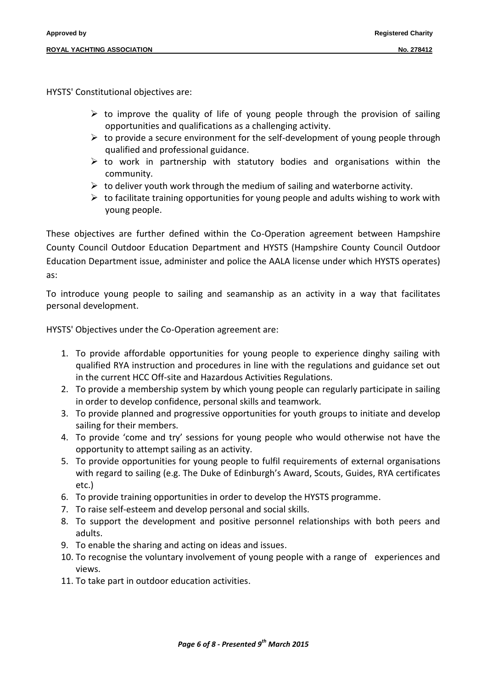HYSTS' Constitutional objectives are:

- $\triangleright$  to improve the quality of life of young people through the provision of sailing opportunities and qualifications as a challenging activity.
- $\triangleright$  to provide a secure environment for the self-development of young people through qualified and professional guidance.
- $\triangleright$  to work in partnership with statutory bodies and organisations within the community.
- $\triangleright$  to deliver youth work through the medium of sailing and waterborne activity.
- $\triangleright$  to facilitate training opportunities for young people and adults wishing to work with young people.

These objectives are further defined within the Co-Operation agreement between Hampshire County Council Outdoor Education Department and HYSTS (Hampshire County Council Outdoor Education Department issue, administer and police the AALA license under which HYSTS operates) as:

To introduce young people to sailing and seamanship as an activity in a way that facilitates personal development.

HYSTS' Objectives under the Co-Operation agreement are:

- 1. To provide affordable opportunities for young people to experience dinghy sailing with qualified RYA instruction and procedures in line with the regulations and guidance set out in the current HCC Off-site and Hazardous Activities Regulations.
- 2. To provide a membership system by which young people can regularly participate in sailing in order to develop confidence, personal skills and teamwork.
- 3. To provide planned and progressive opportunities for youth groups to initiate and develop sailing for their members.
- 4. To provide 'come and try' sessions for young people who would otherwise not have the opportunity to attempt sailing as an activity.
- 5. To provide opportunities for young people to fulfil requirements of external organisations with regard to sailing (e.g. The Duke of Edinburgh's Award, Scouts, Guides, RYA certificates etc.)
- 6. To provide training opportunities in order to develop the HYSTS programme.
- 7. To raise self-esteem and develop personal and social skills.
- 8. To support the development and positive personnel relationships with both peers and adults.
- 9. To enable the sharing and acting on ideas and issues.
- 10. To recognise the voluntary involvement of young people with a range of experiences and views.
- 11. To take part in outdoor education activities.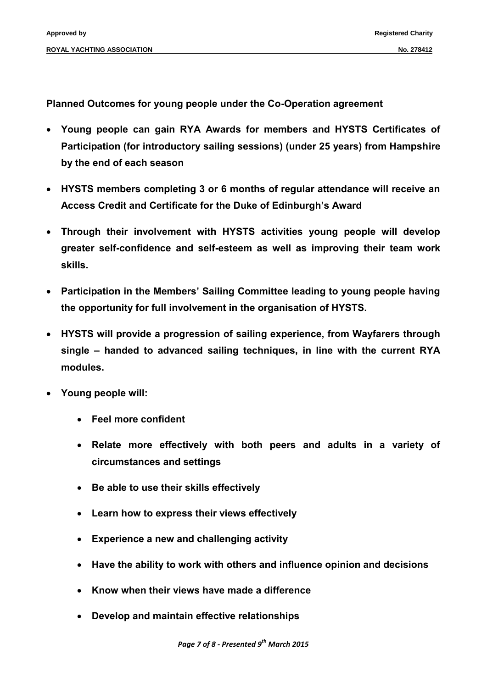**Planned Outcomes for young people under the Co-Operation agreement** 

- **Young people can gain RYA Awards for members and HYSTS Certificates of Participation (for introductory sailing sessions) (under 25 years) from Hampshire by the end of each season**
- **HYSTS members completing 3 or 6 months of regular attendance will receive an Access Credit and Certificate for the Duke of Edinburgh's Award**
- **Through their involvement with HYSTS activities young people will develop greater self-confidence and self-esteem as well as improving their team work skills.**
- **Participation in the Members' Sailing Committee leading to young people having the opportunity for full involvement in the organisation of HYSTS.**
- **HYSTS will provide a progression of sailing experience, from Wayfarers through single – handed to advanced sailing techniques, in line with the current RYA modules.**
- **Young people will:**
	- **Feel more confident**
	- **Relate more effectively with both peers and adults in a variety of circumstances and settings**
	- **Be able to use their skills effectively**
	- **Learn how to express their views effectively**
	- **Experience a new and challenging activity**
	- **Have the ability to work with others and influence opinion and decisions**
	- **Know when their views have made a difference**
	- **Develop and maintain effective relationships**